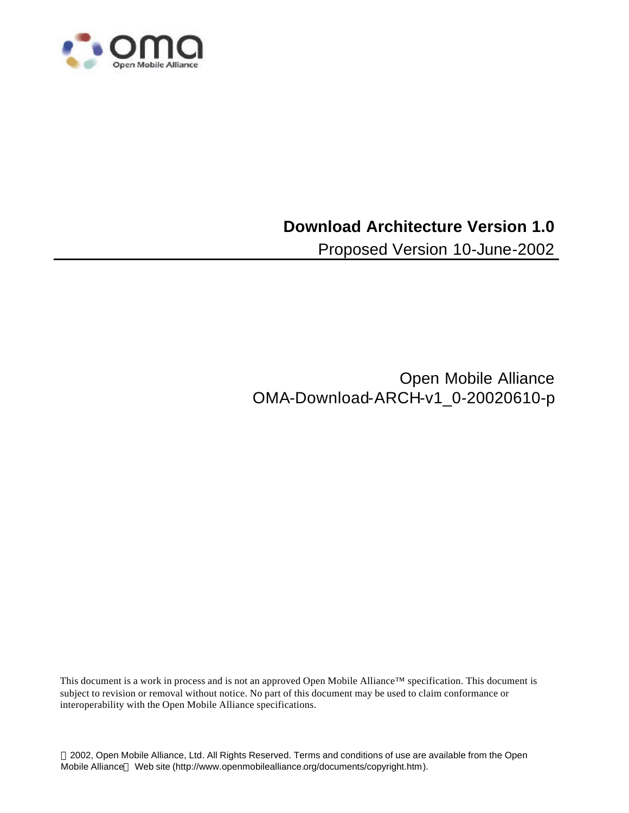

### **Download Architecture Version 1.0**

Proposed Version 10-June-2002

Open Mobile Alliance OMA-Download-ARCH-v1\_0-20020610-p

This document is a work in process and is not an approved Open Mobile Alliance™ specification. This document is subject to revision or removal without notice. No part of this document may be used to claim conformance or interoperability with the Open Mobile Alliance specifications.

 2002, Open Mobile Alliance, Ltd. All Rights Reserved. Terms and conditions of use are available from the Open Mobile Alliance™ Web site (http://www.openmobilealliance.org/documents/copyright.htm).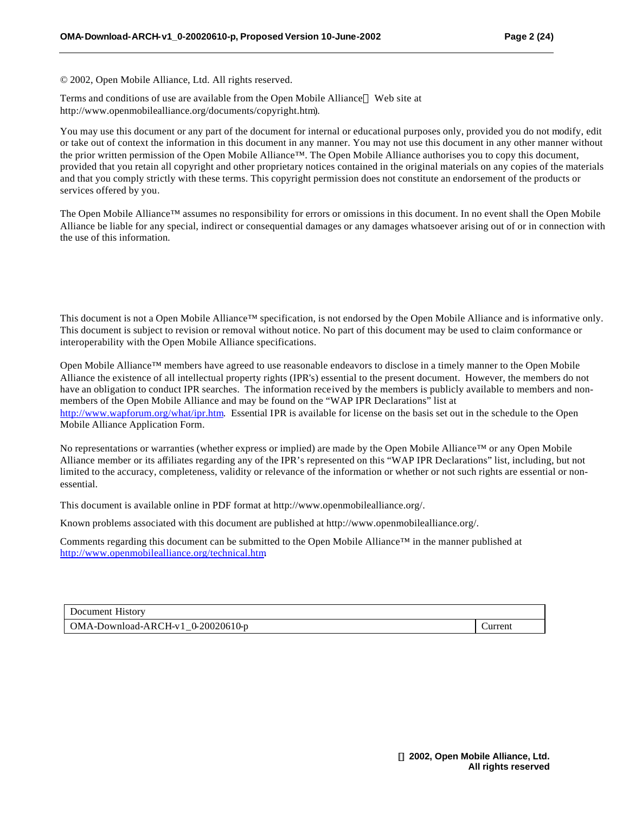© 2002, Open Mobile Alliance, Ltd. All rights reserved.

Terms and conditions of use are available from the Open Mobile Alliance™ Web site at http://www.openmobilealliance.org/documents/copyright.htm).

You may use this document or any part of the document for internal or educational purposes only, provided you do not modify, edit or take out of context the information in this document in any manner. You may not use this document in any other manner without the prior written permission of the Open Mobile Alliance™. The Open Mobile Alliance authorises you to copy this document, provided that you retain all copyright and other proprietary notices contained in the original materials on any copies of the materials and that you comply strictly with these terms. This copyright permission does not constitute an endorsement of the products or services offered by you.

The Open Mobile Alliance™ assumes no responsibility for errors or omissions in this document. In no event shall the Open Mobile Alliance be liable for any special, indirect or consequential damages or any damages whatsoever arising out of or in connection with the use of this information*.*

This document is not a Open Mobile Alliance™ specification, is not endorsed by the Open Mobile Alliance and is informative only. This document is subject to revision or removal without notice. No part of this document may be used to claim conformance or interoperability with the Open Mobile Alliance specifications.

Open Mobile Alliance™ members have agreed to use reasonable endeavors to disclose in a timely manner to the Open Mobile Alliance the existence of all intellectual property rights (IPR's) essential to the present document. However, the members do not have an obligation to conduct IPR searches. The information received by the members is publicly available to members and nonmembers of the Open Mobile Alliance and may be found on the "WAP IPR Declarations" list at http://www.wapforum.org/what/ipr.htm. Essential IPR is available for license on the basis set out in the schedule to the Open Mobile Alliance Application Form.

No representations or warranties (whether express or implied) are made by the Open Mobile Alliance™ or any Open Mobile Alliance member or its affiliates regarding any of the IPR's represented on this "WAP IPR Declarations" list, including, but not limited to the accuracy, completeness, validity or relevance of the information or whether or not such rights are essential or nonessential.

This document is available online in PDF format at http://www.openmobilealliance.org/.

Known problems associated with this document are published at http://www.openmobilealliance.org/.

Comments regarding this document can be submitted to the Open Mobile Alliance™ in the manner published at http://www.openmobilealliance.org/technical.htm.

Document History OMA-Download-ARCH-v1\_0-20020610-p Current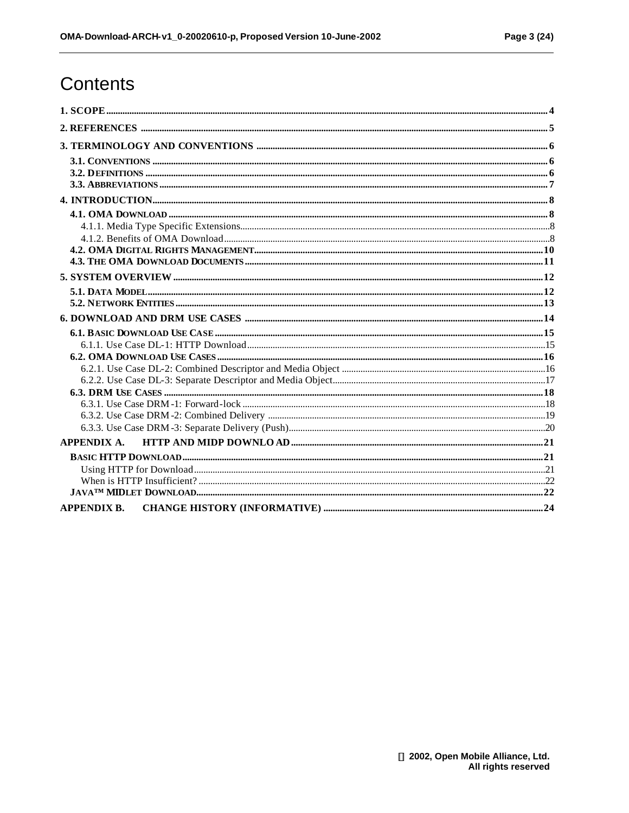# Contents

| <b>APPENDIX A.</b> |  |
|--------------------|--|
|                    |  |
|                    |  |
|                    |  |
|                    |  |
| <b>APPENDIX B.</b> |  |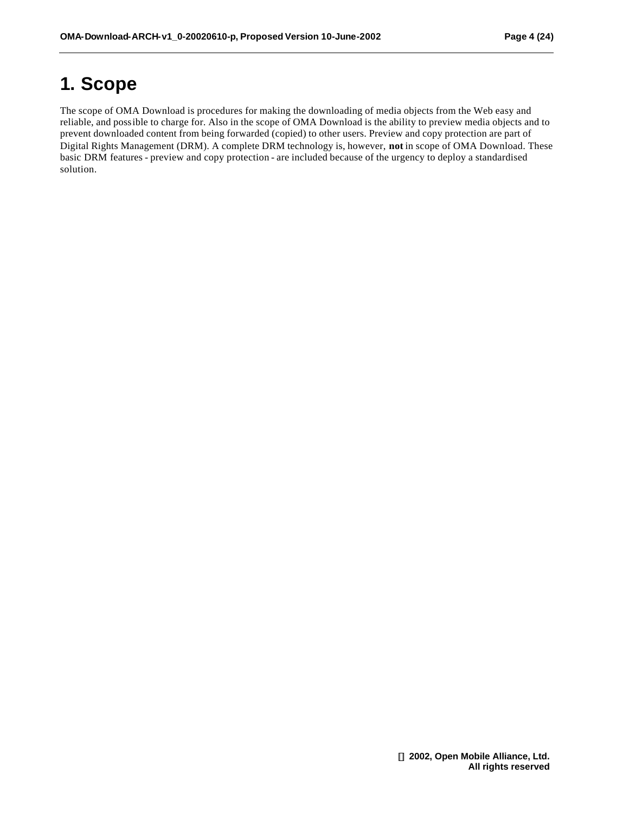# **1. Scope**

The scope of OMA Download is procedures for making the downloading of media objects from the Web easy and reliable, and possible to charge for. Also in the scope of OMA Download is the ability to preview media objects and to prevent downloaded content from being forwarded (copied) to other users. Preview and copy protection are part of Digital Rights Management (DRM). A complete DRM technology is, however, **not** in scope of OMA Download. These basic DRM features - preview and copy protection - are included because of the urgency to deploy a standardised solution.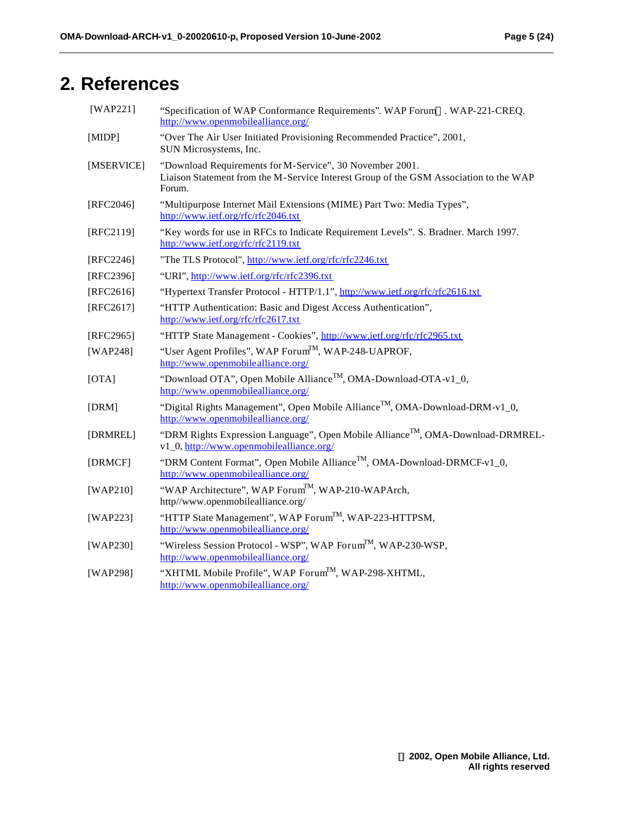# **2. References**

| $[WAP221]$  | "Specification of WAP Conformance Requirements". WAP Forum™. WAP-221-CREQ.<br>http://www.openmobilealliance.org/                                            |  |  |  |  |
|-------------|-------------------------------------------------------------------------------------------------------------------------------------------------------------|--|--|--|--|
| [MIDP]      | "Over The Air User Initiated Provisioning Recommended Practice", 2001,<br>SUN Microsystems, Inc.                                                            |  |  |  |  |
| [MSERVICE]  | "Download Requirements for M-Service", 30 November 2001.<br>Liaison Statement from the M-Service Interest Group of the GSM Association to the WAP<br>Forum. |  |  |  |  |
| [RFC2046]   | "Multipurpose Internet Mail Extensions (MIME) Part Two: Media Types",<br>http://www.ietf.org/rfc/rfc2046.txt                                                |  |  |  |  |
| [RFC2119]   | "Key words for use in RFCs to Indicate Requirement Levels". S. Bradner. March 1997.<br>http://www.ietf.org/rfc/rfc2119.txt                                  |  |  |  |  |
| [RFC2246]   | "The TLS Protocol", http://www.ietf.org/rfc/rfc2246.txt                                                                                                     |  |  |  |  |
| [RFC2396]   | "URI", http://www.ietf.org/rfc/rfc2396.txt                                                                                                                  |  |  |  |  |
| $[RFC2616]$ | "Hypertext Transfer Protocol - HTTP/1.1", http://www.ietf.org/rfc/rfc2616.txt                                                                               |  |  |  |  |
| [RFC2617]   | "HTTP Authentication: Basic and Digest Access Authentication",<br>http://www.ietf.org/rfc/rfc2617.txt                                                       |  |  |  |  |
| [RFC2965]   | "HTTP State Management - Cookies", http://www.ietf.org/rfc/rfc2965.txt                                                                                      |  |  |  |  |
| $[WAP248]$  | "User Agent Profiles", WAP Forum <sup>TM</sup> , WAP-248-UAPROF,<br>http://www.openmobilealliance.org/                                                      |  |  |  |  |
| [OTA]       | "Download OTA", Open Mobile Alliance <sup>TM</sup> , OMA-Download-OTA-v1_0,<br>http://www.openmobilealliance.org/                                           |  |  |  |  |
| [DRM]       | "Digital Rights Management", Open Mobile Alliance <sup>TM</sup> , OMA-Download-DRM-v1_0,<br>http://www.openmobilealliance.org/                              |  |  |  |  |
| [DRMREL]    | "DRM Rights Expression Language", Open Mobile Alliance <sup>TM</sup> , OMA-Download-DRMREL-<br>v1_0, http://www.openmobilealliance.org/                     |  |  |  |  |
| [DRMCF]     | "DRM Content Format", Open Mobile Alliance <sup>TM</sup> , OMA-Download-DRMCF-v1_0,<br>http://www.openmobilealliance.org/                                   |  |  |  |  |
| $[WAP210]$  | "WAP Architecture", WAP Forum <sup>TM</sup> , WAP-210-WAPArch,<br>http//www.openmobilealliance.org/                                                         |  |  |  |  |
| [WAP223]    | "HTTP State Management", WAP Forum <sup>TM</sup> , WAP-223-HTTPSM,<br>http://www.openmobilealliance.org/                                                    |  |  |  |  |
| [WAP230]    | "Wireless Session Protocol - WSP", WAP Forum <sup>TM</sup> , WAP-230-WSP,<br>http://www.openmobilealliance.org/                                             |  |  |  |  |
| [WAP298]    | "XHTML Mobile Profile", WAP Forum <sup>TM</sup> , WAP-298-XHTML,<br>http://www.openmobilealliance.org/                                                      |  |  |  |  |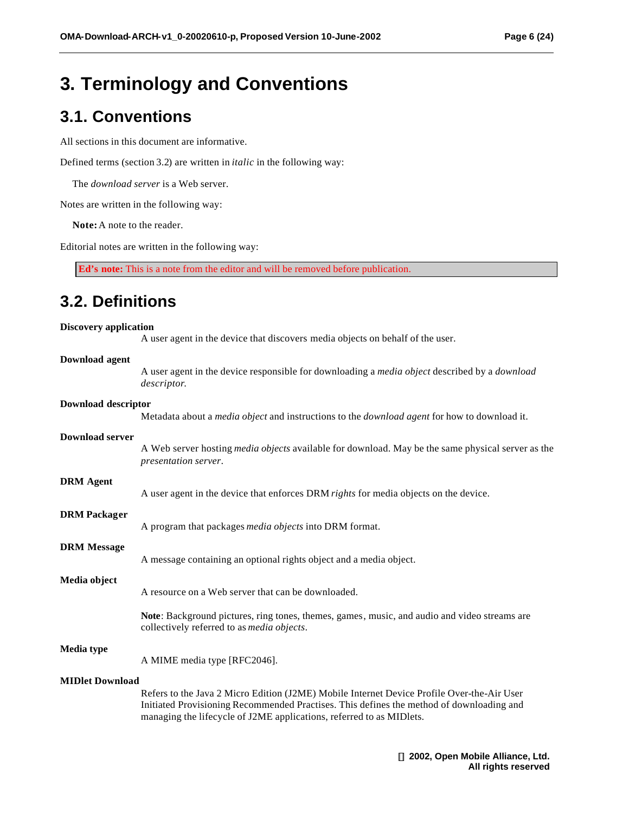# **3. Terminology and Conventions**

### **3.1. Conventions**

All sections in this document are informative.

Defined terms (section 3.2) are written in *italic* in the following way:

The *download server* is a Web server.

Notes are written in the following way:

 **Note:** A note to the reader.

Editorial notes are written in the following way:

**Ed's note:** This is a note from the editor and will be removed before publication.

### **3.2. Definitions**

#### **Discovery application**

A user agent in the device that discovers media objects on behalf of the user.

#### **Download agent**

A user agent in the device responsible for downloading a *media object* described by a *download* 

*descriptor*. **Download descriptor** Metadata about a *media object* and instructions to the *download agent* for how to download it. **Download server** A Web server hosting *media objects* available for download. May be the same physical server as the *presentation server*. **DRM Agent** A user agent in the device that enforces DRM *rights* for media objects on the device. **DRM Packager** A program that packages *media objects* into DRM format. **DRM Message** A message containing an optional rights object and a media object. **Media object** A resource on a Web server that can be downloaded. **Note**: Background pictures, ring tones, themes, games, music, and audio and video streams are collectively referred to as *media objects*. **Media type** A MIME media type [RFC2046]. **MIDlet Download** Refers to the Java 2 Micro Edition (J2ME) Mobile Internet Device Profile Over-the-Air User Initiated Provisioning Recommended Practises. This defines the method of downloading and managing the lifecycle of J2ME applications, referred to as MIDlets.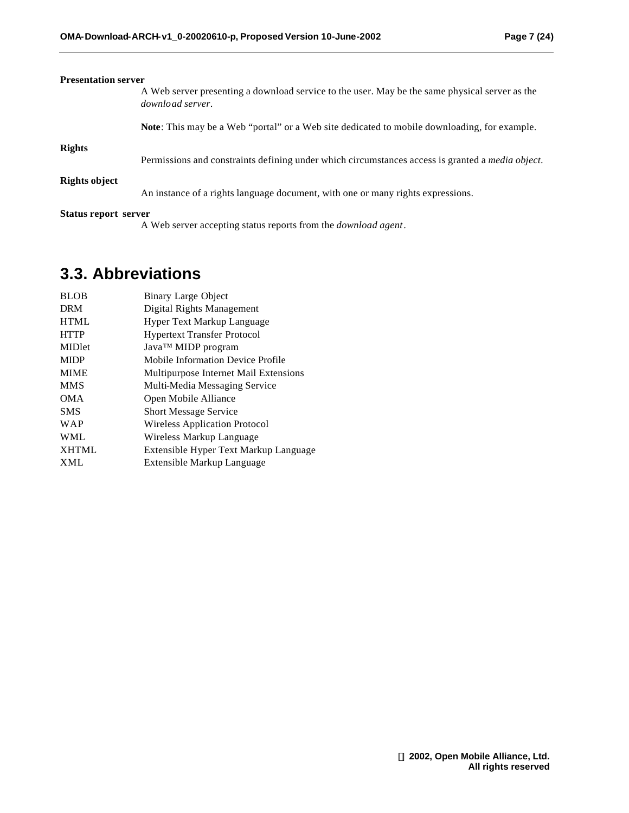| <b>Presentation server</b> |                                                                                                                    |
|----------------------------|--------------------------------------------------------------------------------------------------------------------|
|                            | A Web server presenting a download service to the user. May be the same physical server as the<br>download server. |
|                            | <b>Note:</b> This may be a Web "portal" or a Web site dedicated to mobile downloading, for example.                |
| <b>Rights</b>              |                                                                                                                    |
|                            | Permissions and constraints defining under which circumstances access is granted a <i>media object</i> .           |
| Rights object              |                                                                                                                    |
|                            | An instance of a rights language document, with one or many rights expressions.                                    |
| Status report server       |                                                                                                                    |
|                            | A Web server accepting status reports from the <i>download agent</i> .                                             |

### **3.3. Abbreviations**

| <b>BLOB</b>  | <b>Binary Large Object</b>               |
|--------------|------------------------------------------|
| <b>DRM</b>   | Digital Rights Management                |
| <b>HTML</b>  | Hyper Text Markup Language               |
| <b>HTTP</b>  | <b>Hypertext Transfer Protocol</b>       |
| MIDlet       | Java™ MIDP program                       |
| <b>MIDP</b>  | <b>Mobile Information Device Profile</b> |
| <b>MIME</b>  | Multipurpose Internet Mail Extensions    |
| <b>MMS</b>   | Multi-Media Messaging Service            |
| <b>OMA</b>   | Open Mobile Alliance                     |
| <b>SMS</b>   | <b>Short Message Service</b>             |
| <b>WAP</b>   | <b>Wireless Application Protocol</b>     |
| <b>WML</b>   | Wireless Markup Language                 |
| <b>XHTML</b> | Extensible Hyper Text Markup Language    |
| <b>XML</b>   | Extensible Markup Language               |
|              |                                          |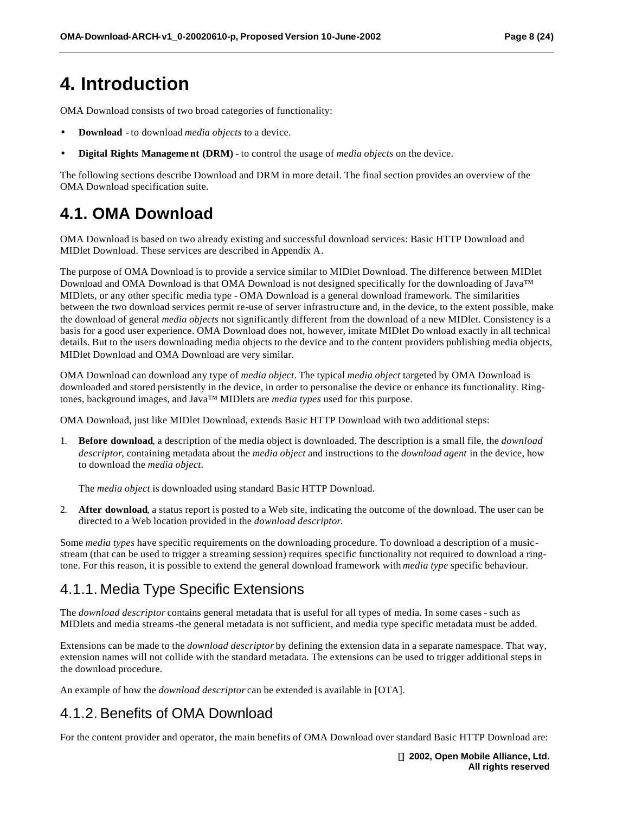# **4. Introduction**

OMA Download consists of two broad categories of functionality:

- **Download -** to download *media objects* to a device.
- **Digital Rights Manageme nt (DRM) -** to control the usage of *media objects* on the device.

The following sections describe Download and DRM in more detail. The final section provides an overview of the OMA Download specification suite.

### **4.1. OMA Download**

OMA Download is based on two already existing and successful download services: Basic HTTP Download and MIDlet Download. These services are described in Appendix A.

The purpose of OMA Download is to provide a service similar to MIDlet Download. The difference between MIDlet Download and OMA Download is that OMA Download is not designed specifically for the downloading of Java™ MIDlets, or any other specific media type - OMA Download is a general download framework. The similarities between the two download services permit re-use of server infrastructure and, in the device, to the extent possible, make the download of general *media objects* not significantly different from the download of a new MIDlet. Consistency is a basis for a good user experience. OMA Download does not, however, imitate MIDlet Do wnload exactly in all technical details. But to the users downloading media objects to the device and to the content providers publishing media objects, MIDlet Download and OMA Download are very similar.

OMA Download can download any type of *media object*. The typical *media object* targeted by OMA Download is downloaded and stored persistently in the device, in order to personalise the device or enhance its functionality. Ringtones, background images, and Java™ MIDlets are *media types* used for this purpose.

OMA Download, just like MIDlet Download, extends Basic HTTP Download with two additional steps:

1. **Before download**, a description of the media object is downloaded. The description is a small file, the *download descriptor*, containing metadata about the *media object* and instructions to the *download agent* in the device, how to download the *media object*.

The *media object* is downloaded using standard Basic HTTP Download.

2. **After download**, a status report is posted to a Web site, indicating the outcome of the download. The user can be directed to a Web location provided in the *download descriptor*.

Some *media types* have specific requirements on the downloading procedure. To download a description of a musicstream (that can be used to trigger a streaming session) requires specific functionality not required to download a ringtone. For this reason, it is possible to extend the general download framework with *media type* specific behaviour.

### 4.1.1. Media Type Specific Extensions

The *download descriptor* contains general metadata that is useful for all types of media. In some cases - such as MIDlets and media streams -the general metadata is not sufficient, and media type specific metadata must be added.

Extensions can be made to the *download descriptor* by defining the extension data in a separate namespace. That way, extension names will not collide with the standard metadata. The extensions can be used to trigger additional steps in the download procedure.

An example of how the *download descriptor* can be extended is available in [OTA].

### 4.1.2. Benefits of OMA Download

For the content provider and operator, the main benefits of OMA Download over standard Basic HTTP Download are: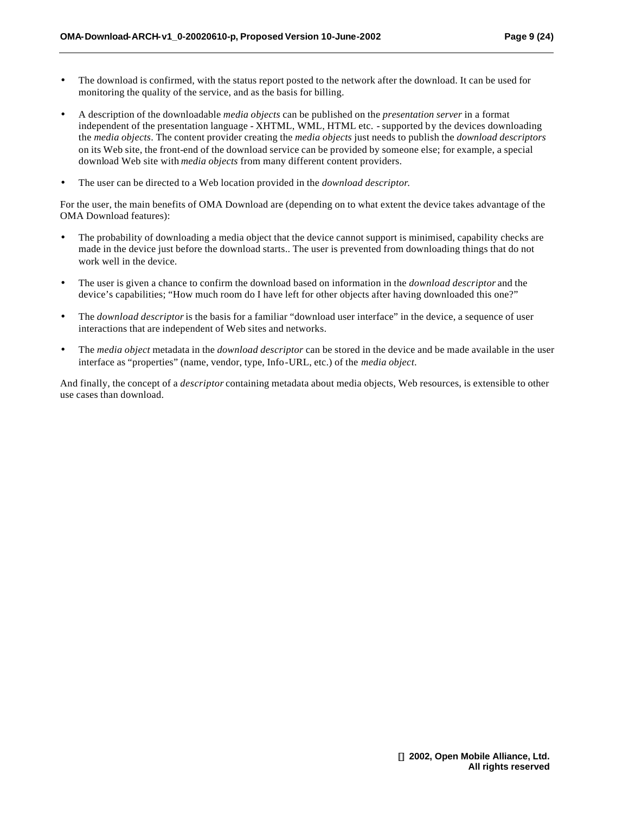- The download is confirmed, with the status report posted to the network after the download. It can be used for monitoring the quality of the service, and as the basis for billing.
- A description of the downloadable *media objects* can be published on the *presentation server* in a format independent of the presentation language - XHTML, WML, HTML etc. - supported by the devices downloading the *media objects*. The content provider creating the *media objects* just needs to publish the *download descriptors* on its Web site, the front-end of the download service can be provided by someone else; for example, a special download Web site with *media objects* from many different content providers.
- The user can be directed to a Web location provided in the *download descriptor*.

For the user, the main benefits of OMA Download are (depending on to what extent the device takes advantage of the OMA Download features):

- The probability of downloading a media object that the device cannot support is minimised, capability checks are made in the device just before the download starts.. The user is prevented from downloading things that do not work well in the device.
- The user is given a chance to confirm the download based on information in the *download descriptor* and the device's capabilities; "How much room do I have left for other objects after having downloaded this one?"
- The *download descriptor* is the basis for a familiar "download user interface" in the device, a sequence of user interactions that are independent of Web sites and networks.
- The *media object* metadata in the *download descriptor* can be stored in the device and be made available in the user interface as "properties" (name, vendor, type, Info-URL, etc.) of the *media object*.

And finally, the concept of a *descriptor* containing metadata about media objects, Web resources, is extensible to other use cases than download.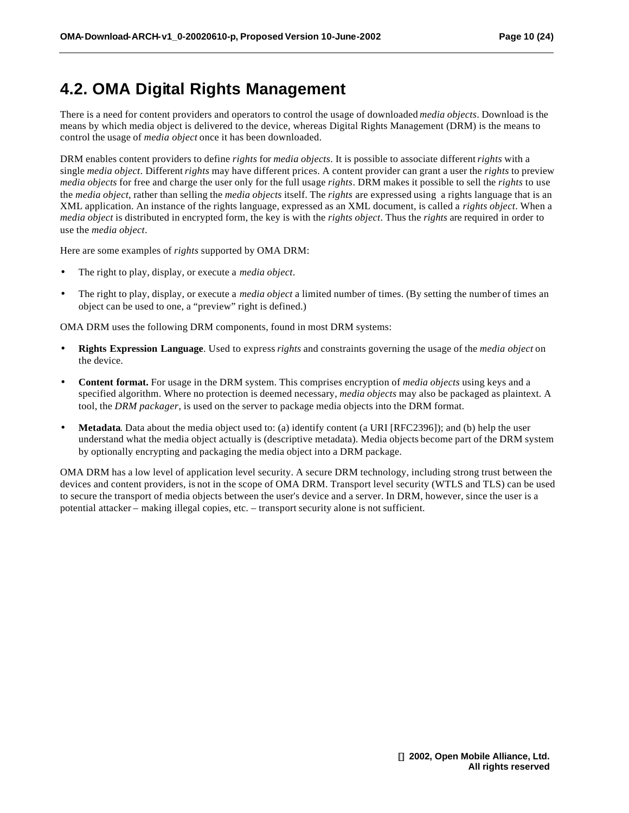### **4.2. OMA Digital Rights Management**

There is a need for content providers and operators to control the usage of downloaded *media objects*. Download is the means by which media object is delivered to the device, whereas Digital Rights Management (DRM) is the means to control the usage of *media object* once it has been downloaded.

DRM enables content providers to define *rights* for *media objects*. It is possible to associate different *rights* with a single *media object*. Different *rights* may have different prices. A content provider can grant a user the *rights* to preview *media objects* for free and charge the user only for the full usage *rights*. DRM makes it possible to sell the *rights* to use the *media object*, rather than selling the *media objects* itself. The *rights* are expressed using a rights language that is an XML application. An instance of the rights language, expressed as an XML document, is called a *rights object*. When a *media object* is distributed in encrypted form, the key is with the *rights object*. Thus the *rights* are required in order to use the *media object*.

Here are some examples of *rights* supported by OMA DRM:

- The right to play, display, or execute a *media object*.
- The right to play, display, or execute a *media object* a limited number of times. (By setting the number of times an object can be used to one, a "preview" right is defined.)

OMA DRM uses the following DRM components, found in most DRM systems:

- **Rights Expression Language**. Used to express *rights* and constraints governing the usage of the *media object* on the device.
- **Content format.** For usage in the DRM system. This comprises encryption of *media objects* using keys and a specified algorithm. Where no protection is deemed necessary, *media objects* may also be packaged as plaintext. A tool, the *DRM packager*, is used on the server to package media objects into the DRM format.
- **Metadata**. Data about the media object used to: (a) identify content (a URI [RFC2396]); and (b) help the user understand what the media object actually is (descriptive metadata). Media objects become part of the DRM system by optionally encrypting and packaging the media object into a DRM package.

OMA DRM has a low level of application level security. A secure DRM technology, including strong trust between the devices and content providers, is not in the scope of OMA DRM. Transport level security (WTLS and TLS) can be used to secure the transport of media objects between the user's device and a server. In DRM, however, since the user is a potential attacker – making illegal copies, etc. – transport security alone is not sufficient.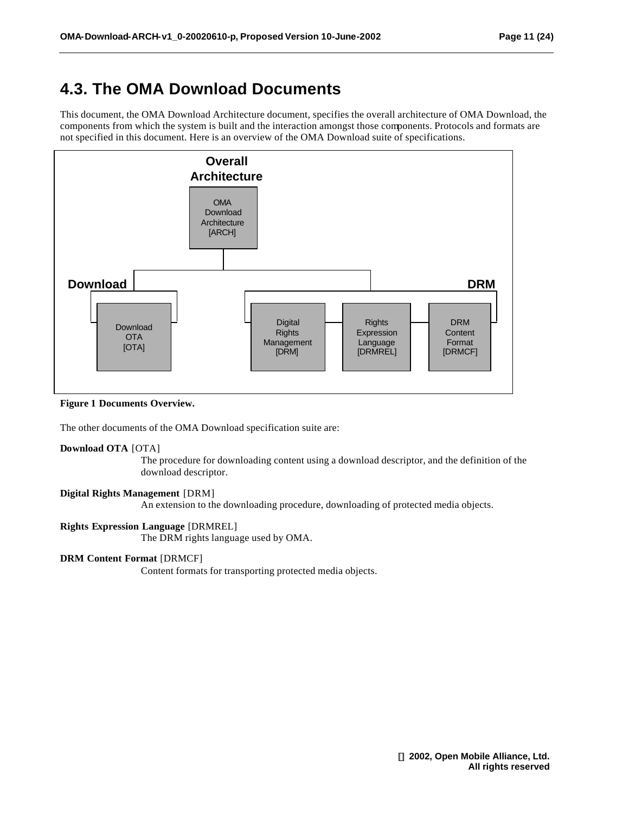## **4.3. The OMA Download Documents**

This document, the OMA Download Architecture document, specifies the overall architecture of OMA Download, the components from which the system is built and the interaction amongst those components. Protocols and formats are not specified in this document. Here is an overview of the OMA Download suite of specifications.



**Figure 1 Documents Overview.**

The other documents of the OMA Download specification suite are:

#### **Download OTA** [OTA]

The procedure for downloading content using a download descriptor, and the definition of the download descriptor.

#### **Digital Rights Management** [DRM]

An extension to the downloading procedure, downloading of protected media objects.

#### **Rights Expression Language** [DRMREL]

The DRM rights language used by OMA.

### **DRM Content Format** [DRMCF]

Content formats for transporting protected media objects.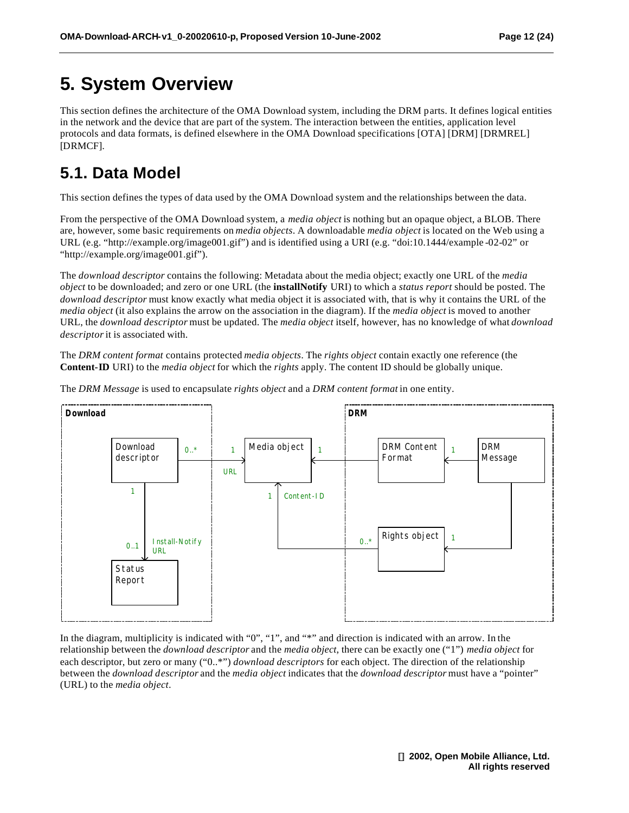# **5. System Overview**

This section defines the architecture of the OMA Download system, including the DRM parts. It defines logical entities in the network and the device that are part of the system. The interaction between the entities, application level protocols and data formats, is defined elsewhere in the OMA Download specifications [OTA] [DRM] [DRMREL] [DRMCF].

## **5.1. Data Model**

This section defines the types of data used by the OMA Download system and the relationships between the data.

From the perspective of the OMA Download system, a *media object* is nothing but an opaque object, a BLOB. There are, however, some basic requirements on *media objects*. A downloadable *media object* is located on the Web using a URL (e.g. "http://example.org/image001.gif") and is identified using a URI (e.g. "doi:10.1444/example -02-02" or "http://example.org/image001.gif").

The *download descriptor* contains the following: Metadata about the media object; exactly one URL of the *media object* to be downloaded; and zero or one URL (the **installNotify** URI) to which a *status report* should be posted. The *download descriptor* must know exactly what media object it is associated with, that is why it contains the URL of the *media object* (it also explains the arrow on the association in the diagram). If the *media object* is moved to another URL, the *download descriptor* must be updated. The *media object* itself, however, has no knowledge of what *download descriptor* it is associated with.

The *DRM content format* contains protected *media objects*. The *rights object* contain exactly one reference (the **Content-ID** URI) to the *media object* for which the *rights* apply. The content ID should be globally unique.

The *DRM Message* is used to encapsulate *rights object* and a *DRM content format* in one entity.



In the diagram, multiplicity is indicated with "0", "1", and "\*" and direction is indicated with an arrow. In the relationship between the *download descriptor* and the *media object*, there can be exactly one ("1") *media object* for each descriptor, but zero or many ("0..\*") *download descriptors* for each object. The direction of the relationship between the *download descriptor* and the *media object* indicates that the *download descriptor* must have a "pointer" (URL) to the *media object*.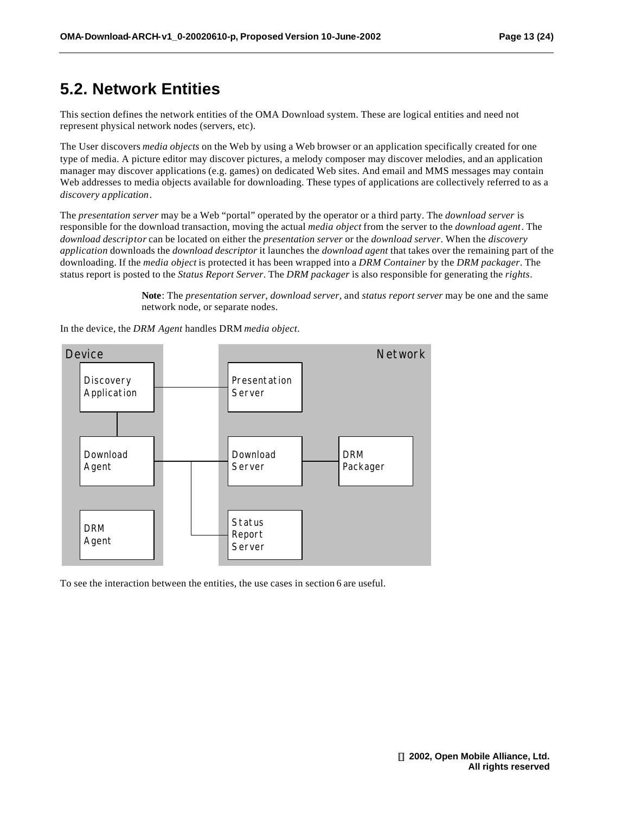### **5.2. Network Entities**

This section defines the network entities of the OMA Download system. These are logical entities and need not represent physical network nodes (servers, etc).

The User discovers *media objects* on the Web by using a Web browser or an application specifically created for one type of media. A picture editor may discover pictures, a melody composer may discover melodies, and an application manager may discover applications (e.g. games) on dedicated Web sites. And email and MMS messages may contain Web addresses to media objects available for downloading. These types of applications are collectively referred to as a *discovery application*.

The *presentation server* may be a Web "portal" operated by the operator or a third party. The *download server* is responsible for the download transaction, moving the actual *media object* from the server to the *download agent*. The *download descriptor* can be located on either the *presentation server* or the *download server*. When the *discovery application* downloads the *download descriptor* it launches the *download agent* that takes over the remaining part of the downloading. If the *media object* is protected it has been wrapped into a *DRM Container* by the *DRM packager*. The status report is posted to the *Status Report Server*. The *DRM packager* is also responsible for generating the *rights*.

> **Note**: The *presentation server, download server,* and *status report server* may be one and the same network node, or separate nodes.



In the device, the *DRM Agent* handles DRM *media object*.

To see the interaction between the entities, the use cases in section 6 are useful.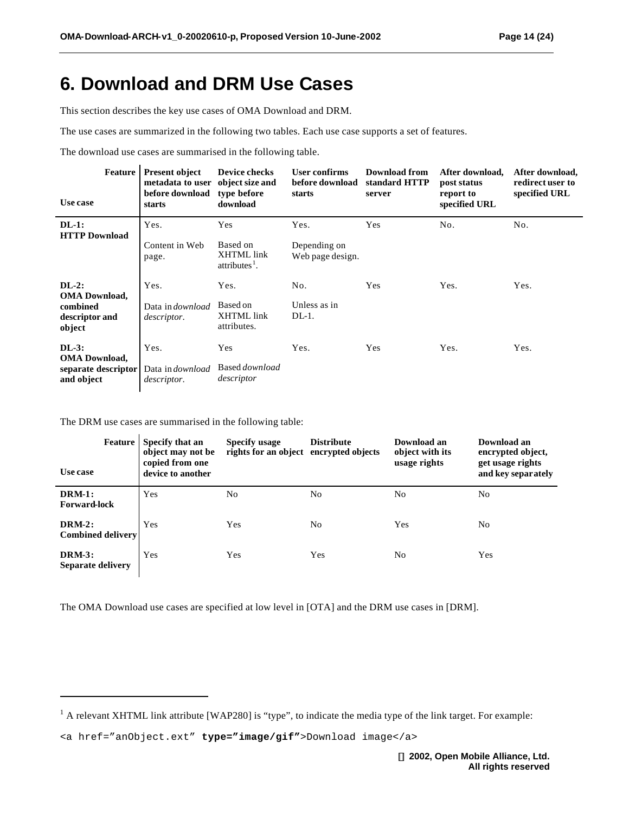# **6. Download and DRM Use Cases**

This section describes the key use cases of OMA Download and DRM.

The use cases are summarized in the following two tables. Each use case supports a set of features.

The download use cases are summarised in the following table.

| Feature<br>Use case                                          | <b>Present object</b><br>metadata to user<br>before download<br>starts | <b>Device checks</b><br>object size and<br>type before<br>download | User confirms<br>before download<br>starts | <b>Download from</b><br>standard HTTP<br>server | After download,<br>post status<br>report to<br>specified URL | After download,<br>redirect user to<br>specified URL |
|--------------------------------------------------------------|------------------------------------------------------------------------|--------------------------------------------------------------------|--------------------------------------------|-------------------------------------------------|--------------------------------------------------------------|------------------------------------------------------|
| $DL-1$ :<br><b>HTTP</b> Download                             | Yes.                                                                   | Yes                                                                | Yes.                                       | Yes                                             | No.                                                          | No.                                                  |
|                                                              | Content in Web<br>page.                                                | Based on<br><b>XHTML</b> link<br>$atributes1$ .                    | Depending on<br>Web page design.           |                                                 |                                                              |                                                      |
| $DL-2$ :                                                     | Yes.                                                                   | Yes.                                                               | No.                                        | Yes                                             | Yes.                                                         | Yes.                                                 |
| <b>OMA</b> Download,<br>combined<br>descriptor and<br>object | Data in <i>download</i><br><i>descriptor.</i>                          | Based on<br>XHTML link<br>attributes.                              | Unless as in<br>$DL-1$ .                   |                                                 |                                                              |                                                      |
| $DL-3:$                                                      | Yes.                                                                   | Yes                                                                | Yes.                                       | Yes                                             | Yes.                                                         | Yes.                                                 |
| <b>OMA</b> Download,<br>separate descriptor<br>and object    | Data in <i>download</i><br><i>descriptor.</i>                          | Based <i>download</i><br>descriptor                                |                                            |                                                 |                                                              |                                                      |

The DRM use cases are summarised in the following table:

l

| Feature<br>Use case                       | Specify that an<br>object may not be<br>copied from one<br>device to another | Specify usage<br>rights for an object encrypted objects | <b>Distribute</b> | Download an<br>object with its<br>usage rights | Download an<br>encrypted object,<br>get usage rights<br>and key separately |
|-------------------------------------------|------------------------------------------------------------------------------|---------------------------------------------------------|-------------------|------------------------------------------------|----------------------------------------------------------------------------|
| <b>DRM-1:</b><br><b>Forward-lock</b>      | Yes                                                                          | No                                                      | No                | No                                             | No                                                                         |
| <b>DRM-2:</b><br><b>Combined delivery</b> | Yes                                                                          | Yes                                                     | No                | Yes                                            | No                                                                         |
| <b>DRM-3:</b><br>Separate delivery        | Yes                                                                          | Yes                                                     | Yes               | N <sub>0</sub>                                 | Yes                                                                        |

The OMA Download use cases are specified at low level in [OTA] and the DRM use cases in [DRM].

 $<sup>1</sup>$  A relevant XHTML link attribute [WAP280] is "type", to indicate the media type of the link target. For example:</sup>

<sup>&</sup>lt;a href="anObject.ext" **type="image/gif"**>Download image</a>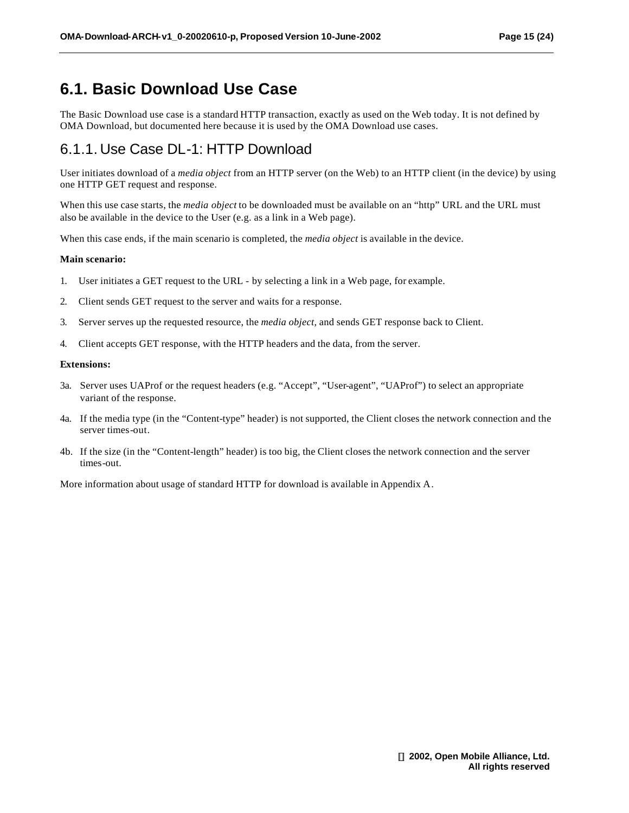### **6.1. Basic Download Use Case**

The Basic Download use case is a standard HTTP transaction, exactly as used on the Web today. It is not defined by OMA Download, but documented here because it is used by the OMA Download use cases.

### 6.1.1. Use Case DL-1: HTTP Download

User initiates download of a *media object* from an HTTP server (on the Web) to an HTTP client (in the device) by using one HTTP GET request and response.

When this use case starts, the *media object* to be downloaded must be available on an "http" URL and the URL must also be available in the device to the User (e.g. as a link in a Web page).

When this case ends, if the main scenario is completed, the *media object* is available in the device.

#### **Main scenario:**

- 1. User initiates a GET request to the URL by selecting a link in a Web page, for example.
- 2. Client sends GET request to the server and waits for a response.
- 3. Server serves up the requested resource, the *media object*, and sends GET response back to Client.
- 4. Client accepts GET response, with the HTTP headers and the data, from the server.

#### **Extensions:**

- 3a. Server uses UAProf or the request headers (e.g. "Accept", "User-agent", "UAProf") to select an appropriate variant of the response.
- 4a. If the media type (in the "Content-type" header) is not supported, the Client closes the network connection and the server times-out.
- 4b. If the size (in the "Content-length" header) is too big, the Client closes the network connection and the server times-out.

More information about usage of standard HTTP for download is available in Appendix A.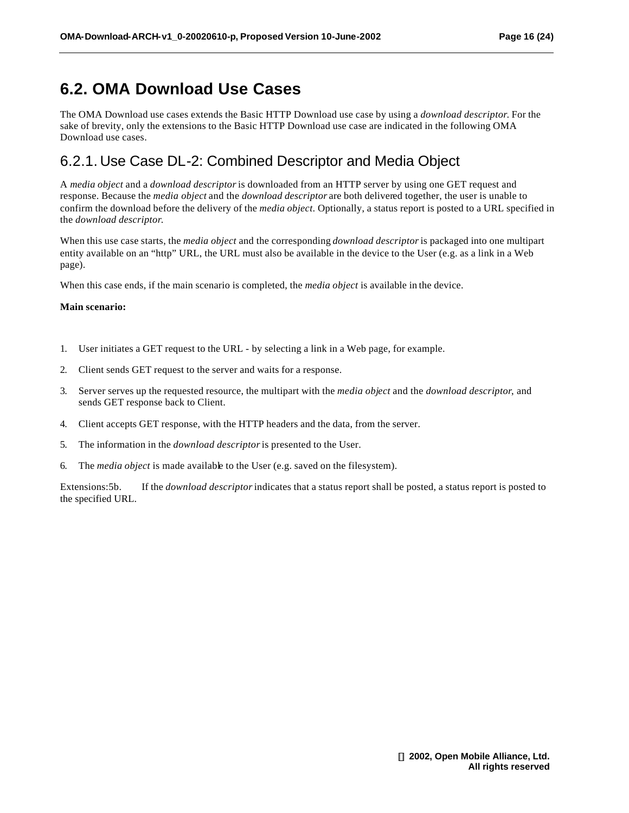### **6.2. OMA Download Use Cases**

The OMA Download use cases extends the Basic HTTP Download use case by using a *download descriptor*. For the sake of brevity, only the extensions to the Basic HTTP Download use case are indicated in the following OMA Download use cases.

### 6.2.1. Use Case DL-2: Combined Descriptor and Media Object

A *media object* and a *download descriptor* is downloaded from an HTTP server by using one GET request and response. Because the *media object* and the *download descriptor* are both delivered together, the user is unable to confirm the download before the delivery of the *media object*. Optionally, a status report is posted to a URL specified in the *download descriptor*.

When this use case starts, the *media object* and the corresponding *download descriptor*is packaged into one multipart entity available on an "http" URL, the URL must also be available in the device to the User (e.g. as a link in a Web page).

When this case ends, if the main scenario is completed, the *media object* is available in the device.

#### **Main scenario:**

- 1. User initiates a GET request to the URL by selecting a link in a Web page, for example.
- 2. Client sends GET request to the server and waits for a response.
- 3. Server serves up the requested resource, the multipart with the *media object* and the *download descriptor*, and sends GET response back to Client.
- 4. Client accepts GET response, with the HTTP headers and the data, from the server.
- 5. The information in the *download descriptor* is presented to the User.
- 6. The *media object* is made available to the User (e.g. saved on the filesystem).

Extensions:5b. If the *download descriptor* indicates that a status report shall be posted, a status report is posted to the specified URL.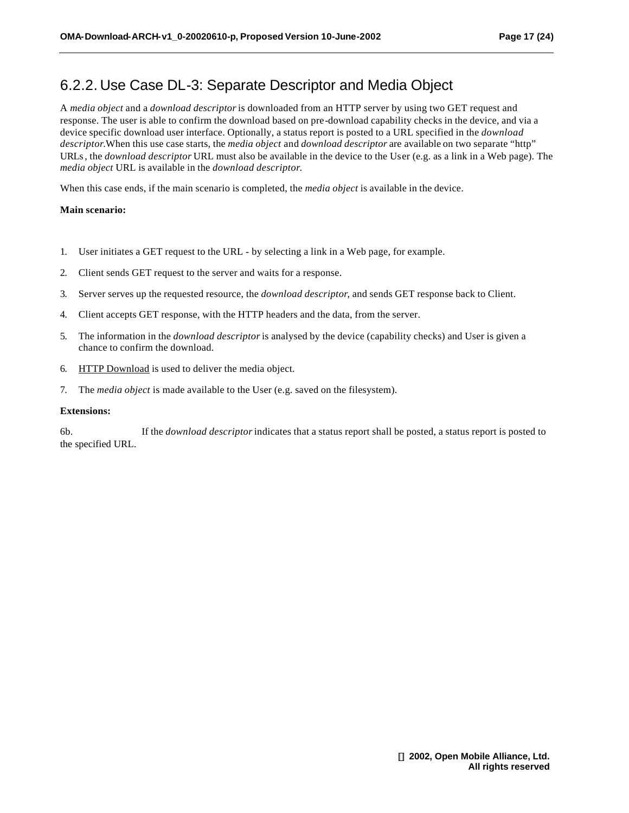### 6.2.2. Use Case DL-3: Separate Descriptor and Media Object

A *media object* and a *download descriptor* is downloaded from an HTTP server by using two GET request and response. The user is able to confirm the download based on pre-download capability checks in the device, and via a device specific download user interface. Optionally, a status report is posted to a URL specified in the *download descriptor*.When this use case starts, the *media object* and *download descriptor* are available on two separate "http" URLs, the *download descriptor* URL must also be available in the device to the User (e.g. as a link in a Web page). The *media object* URL is available in the *download descriptor*.

When this case ends, if the main scenario is completed, the *media object* is available in the device.

#### **Main scenario:**

- 1. User initiates a GET request to the URL by selecting a link in a Web page, for example.
- 2. Client sends GET request to the server and waits for a response.
- 3. Server serves up the requested resource, the *download descriptor*, and sends GET response back to Client.
- 4. Client accepts GET response, with the HTTP headers and the data, from the server.
- 5. The information in the *download descriptor* is analysed by the device (capability checks) and User is given a chance to confirm the download.
- 6. HTTP Download is used to deliver the media object.
- 7. The *media object* is made available to the User (e.g. saved on the filesystem).

#### **Extensions:**

6b. If the *download descriptor* indicates that a status report shall be posted, a status report is posted to the specified URL.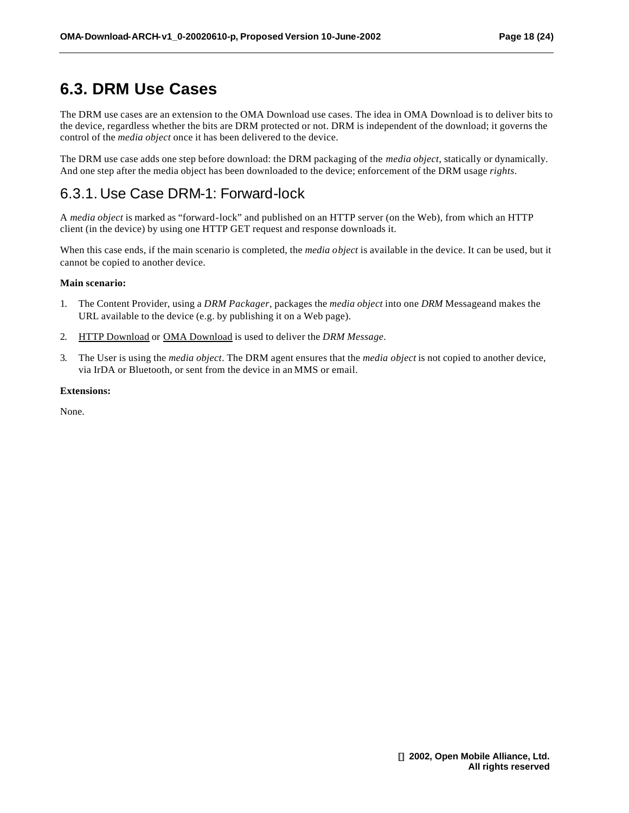### **6.3. DRM Use Cases**

The DRM use cases are an extension to the OMA Download use cases. The idea in OMA Download is to deliver bits to the device, regardless whether the bits are DRM protected or not. DRM is independent of the download; it governs the control of the *media object* once it has been delivered to the device.

The DRM use case adds one step before download: the DRM packaging of the *media object*, statically or dynamically. And one step after the media object has been downloaded to the device; enforcement of the DRM usage *rights*.

### 6.3.1. Use Case DRM-1: Forward-lock

A *media object* is marked as "forward-lock" and published on an HTTP server (on the Web), from which an HTTP client (in the device) by using one HTTP GET request and response downloads it.

When this case ends, if the main scenario is completed, the *media object* is available in the device. It can be used, but it cannot be copied to another device.

#### **Main scenario:**

- 1. The Content Provider, using a *DRM Packager*, packages the *media object* into one *DRM* Messageand makes the URL available to the device (e.g. by publishing it on a Web page).
- 2. HTTP Download or OMA Download is used to deliver the *DRM Message*.
- 3. The User is using the *media object*. The DRM agent ensures that the *media object* is not copied to another device, via IrDA or Bluetooth, or sent from the device in an MMS or email.

#### **Extensions:**

None.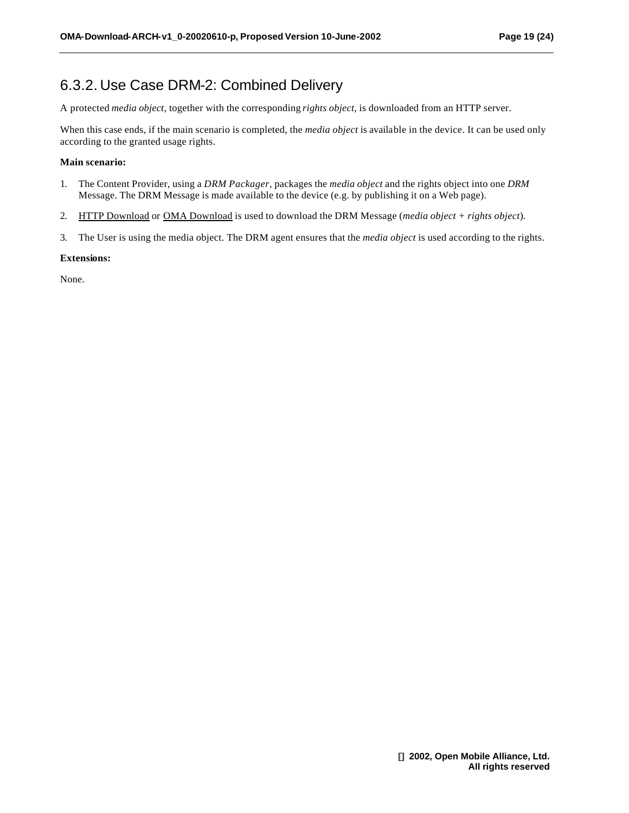### 6.3.2. Use Case DRM-2: Combined Delivery

A protected *media object*, together with the corresponding *rights object*, is downloaded from an HTTP server.

When this case ends, if the main scenario is completed, the *media object* is available in the device. It can be used only according to the granted usage rights.

#### **Main scenario:**

- 1. The Content Provider, using a *DRM Packager*, packages the *media object* and the rights object into one *DRM*  Message. The DRM Message is made available to the device (e.g. by publishing it on a Web page).
- 2. HTTP Download or OMA Download is used to download the DRM Message (*media object + rights object*).
- 3. The User is using the media object. The DRM agent ensures that the *media object* is used according to the rights.

#### **Extensions:**

None.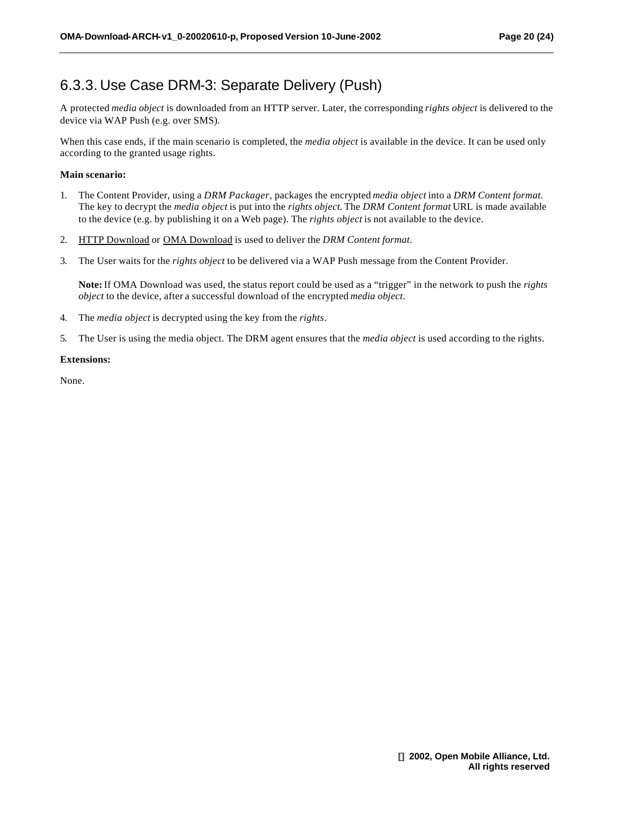### 6.3.3. Use Case DRM-3: Separate Delivery (Push)

A protected *media object* is downloaded from an HTTP server. Later, the corresponding *rights object* is delivered to the device via WAP Push (e.g. over SMS).

When this case ends, if the main scenario is completed, the *media object* is available in the device. It can be used only according to the granted usage rights.

#### **Main scenario:**

- 1. The Content Provider, using a *DRM Packager*, packages the encrypted *media object* into a *DRM Content format*. The key to decrypt the *media object* is put into the *rights object.* The *DRM Content format* URL is made available to the device (e.g. by publishing it on a Web page). The *rights object* is not available to the device.
- 2. HTTP Download or OMA Download is used to deliver the *DRM Content format*.
- 3. The User waits for the *rights object* to be delivered via a WAP Push message from the Content Provider.

**Note:** If OMA Download was used, the status report could be used as a "trigger" in the network to push the *rights object* to the device, after a successful download of the encrypted *media object*.

- 4. The *media object* is decrypted using the key from the *rights*.
- 5. The User is using the media object. The DRM agent ensures that the *media object* is used according to the rights.

#### **Extensions:**

None.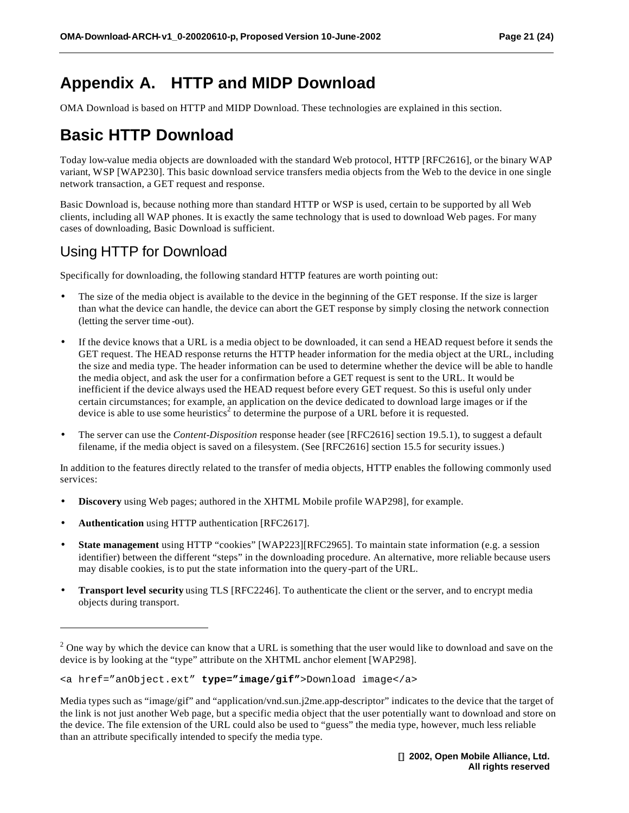## **Appendix A. HTTP and MIDP Download**

OMA Download is based on HTTP and MIDP Download. These technologies are explained in this section.

### **Basic HTTP Download**

Today low-value media objects are downloaded with the standard Web protocol, HTTP [RFC2616], or the binary WAP variant, WSP [WAP230]. This basic download service transfers media objects from the Web to the device in one single network transaction, a GET request and response.

Basic Download is, because nothing more than standard HTTP or WSP is used, certain to be supported by all Web clients, including all WAP phones. It is exactly the same technology that is used to download Web pages. For many cases of downloading, Basic Download is sufficient.

### Using HTTP for Download

Specifically for downloading, the following standard HTTP features are worth pointing out:

- The size of the media object is available to the device in the beginning of the GET response. If the size is larger than what the device can handle, the device can abort the GET response by simply closing the network connection (letting the server time -out).
- If the device knows that a URL is a media object to be downloaded, it can send a HEAD request before it sends the GET request. The HEAD response returns the HTTP header information for the media object at the URL, including the size and media type. The header information can be used to determine whether the device will be able to handle the media object, and ask the user for a confirmation before a GET request is sent to the URL. It would be inefficient if the device always used the HEAD request before every GET request. So this is useful only under certain circumstances; for example, an application on the device dedicated to download large images or if the device is able to use some heuristics<sup>2</sup> to determine the purpose of a URL before it is requested.
- The server can use the *Content-Disposition* response header (see [RFC2616] section 19.5.1), to suggest a default filename, if the media object is saved on a filesystem. (See [RFC2616] section 15.5 for security issues.)

In addition to the features directly related to the transfer of media objects, HTTP enables the following commonly used services:

- **Discovery** using Web pages; authored in the XHTML Mobile profile WAP298], for example.
- **Authentication** using HTTP authentication [RFC2617].

l

- **State management** using HTTP "cookies" [WAP223][RFC2965]. To maintain state information (e.g. a session identifier) between the different "steps" in the downloading procedure. An alternative, more reliable because users may disable cookies, is to put the state information into the query-part of the URL.
- **Transport level security** using TLS [RFC2246]. To authenticate the client or the server, and to encrypt media objects during transport.

 $2$  One way by which the device can know that a URL is something that the user would like to download and save on the device is by looking at the "type" attribute on the XHTML anchor element [WAP298].

<sup>&</sup>lt;a href="anObject.ext" **type="image/gif"**>Download image</a>

Media types such as "image/gif" and "application/vnd.sun.j2me.app-descriptor" indicates to the device that the target of the link is not just another Web page, but a specific media object that the user potentially want to download and store on the device. The file extension of the URL could also be used to "guess" the media type, however, much less reliable than an attribute specifically intended to specify the media type.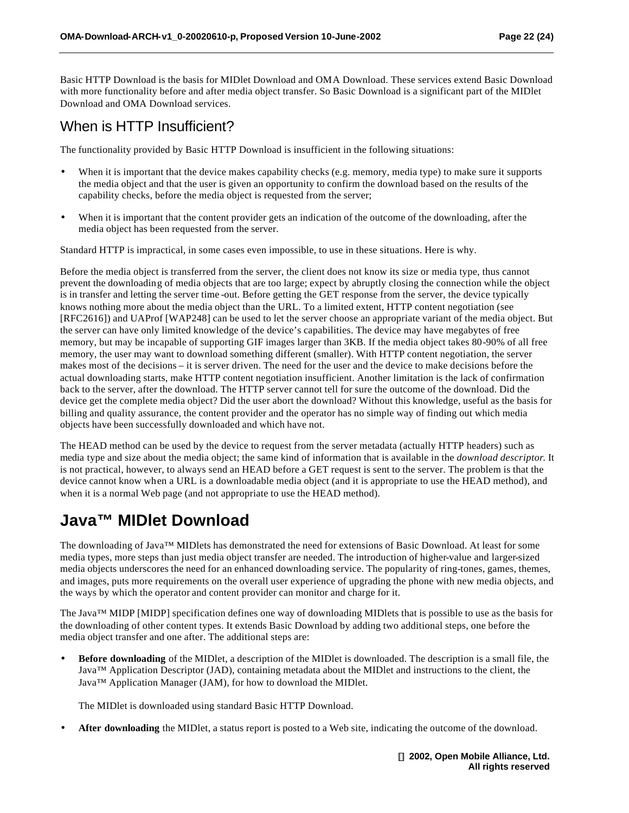Basic HTTP Download is the basis for MIDlet Download and OMA Download. These services extend Basic Download with more functionality before and after media object transfer. So Basic Download is a significant part of the MIDlet Download and OMA Download services.

### When is HTTP Insufficient?

The functionality provided by Basic HTTP Download is insufficient in the following situations:

- When it is important that the device makes capability checks (e.g. memory, media type) to make sure it supports the media object and that the user is given an opportunity to confirm the download based on the results of the capability checks, before the media object is requested from the server;
- When it is important that the content provider gets an indication of the outcome of the downloading, after the media object has been requested from the server.

Standard HTTP is impractical, in some cases even impossible, to use in these situations. Here is why.

Before the media object is transferred from the server, the client does not know its size or media type, thus cannot prevent the downloading of media objects that are too large; expect by abruptly closing the connection while the object is in transfer and letting the server time -out. Before getting the GET response from the server, the device typically knows nothing more about the media object than the URL. To a limited extent, HTTP content negotiation (see [RFC2616]) and UAProf [WAP248] can be used to let the server choose an appropriate variant of the media object. But the server can have only limited knowledge of the device's capabilities. The device may have megabytes of free memory, but may be incapable of supporting GIF images larger than 3KB. If the media object takes 80-90% of all free memory, the user may want to download something different (smaller). With HTTP content negotiation, the server makes most of the decisions – it is server driven. The need for the user and the device to make decisions before the actual downloading starts, make HTTP content negotiation insufficient. Another limitation is the lack of confirmation back to the server, after the download. The HTTP server cannot tell for sure the outcome of the download. Did the device get the complete media object? Did the user abort the download? Without this knowledge, useful as the basis for billing and quality assurance, the content provider and the operator has no simple way of finding out which media objects have been successfully downloaded and which have not.

The HEAD method can be used by the device to request from the server metadata (actually HTTP headers) such as media type and size about the media object; the same kind of information that is available in the *download descriptor*. It is not practical, however, to always send an HEAD before a GET request is sent to the server. The problem is that the device cannot know when a URL is a downloadable media object (and it is appropriate to use the HEAD method), and when it is a normal Web page (and not appropriate to use the HEAD method).

### **Java™ MIDlet Download**

The downloading of Java™ MIDlets has demonstrated the need for extensions of Basic Download. At least for some media types, more steps than just media object transfer are needed. The introduction of higher-value and larger-sized media objects underscores the need for an enhanced downloading service. The popularity of ring-tones, games, themes, and images, puts more requirements on the overall user experience of upgrading the phone with new media objects, and the ways by which the operator and content provider can monitor and charge for it.

The Java™ MIDP [MIDP] specification defines one way of downloading MIDlets that is possible to use as the basis for the downloading of other content types. It extends Basic Download by adding two additional steps, one before the media object transfer and one after. The additional steps are:

• **Before downloading** of the MIDlet, a description of the MIDlet is downloaded. The description is a small file, the Java™ Application Descriptor (JAD), containing metadata about the MIDlet and instructions to the client, the Java™ Application Manager (JAM), for how to download the MIDlet.

The MIDlet is downloaded using standard Basic HTTP Download.

• **After downloading** the MIDlet, a status report is posted to a Web site, indicating the outcome of the download.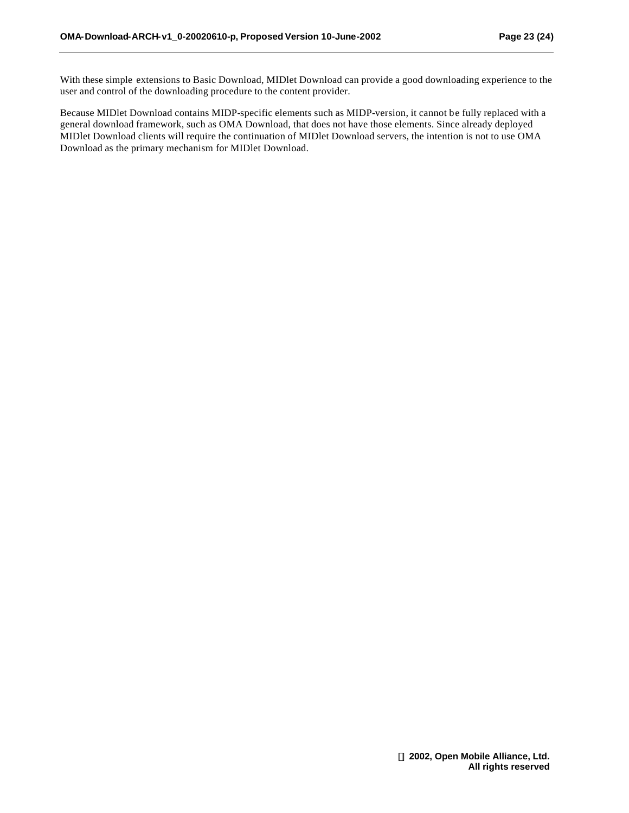With these simple extensions to Basic Download, MIDlet Download can provide a good downloading experience to the user and control of the downloading procedure to the content provider.

Because MIDlet Download contains MIDP-specific elements such as MIDP-version, it cannot be fully replaced with a general download framework, such as OMA Download, that does not have those elements. Since already deployed MIDlet Download clients will require the continuation of MIDlet Download servers, the intention is not to use OMA Download as the primary mechanism for MIDlet Download.